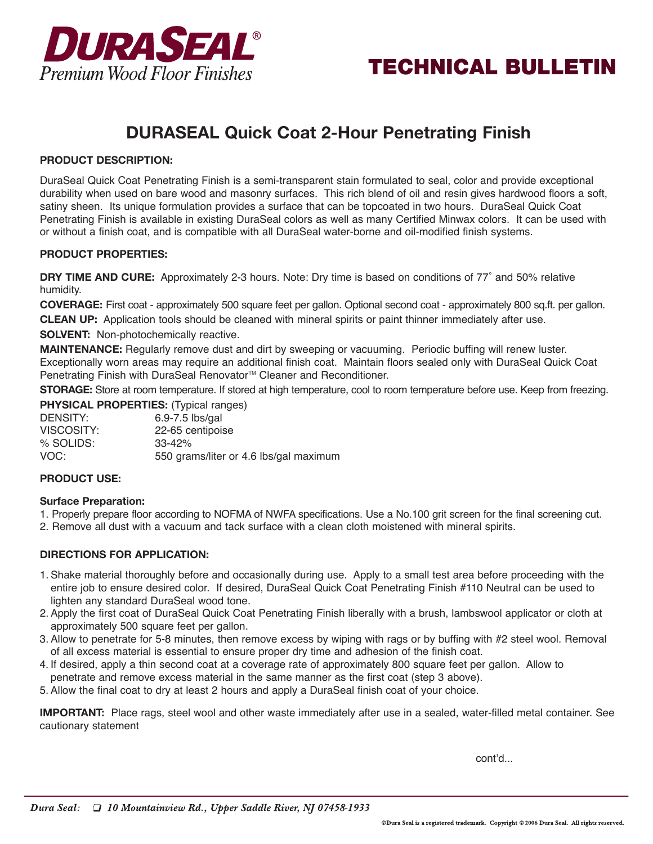



# **DURASEAL Quick Coat 2-Hour Penetrating Finish**

## **PRODUCT DESCRIPTION:**

DuraSeal Quick Coat Penetrating Finish is a semi-transparent stain formulated to seal, color and provide exceptional durability when used on bare wood and masonry surfaces. This rich blend of oil and resin gives hardwood floors a soft, satiny sheen. Its unique formulation provides a surface that can be topcoated in two hours. DuraSeal Quick Coat Penetrating Finish is available in existing DuraSeal colors as well as many Certified Minwax colors. It can be used with or without a finish coat, and is compatible with all DuraSeal water-borne and oil-modified finish systems.

#### **PRODUCT PROPERTIES:**

**DRY TIME AND CURE:** Approximately 2-3 hours. Note: Dry time is based on conditions of 77˚ and 50% relative humidity.

**COVERAGE:** First coat - approximately 500 square feet per gallon. Optional second coat - approximately 800 sq.ft. per gallon. **CLEAN UP:** Application tools should be cleaned with mineral spirits or paint thinner immediately after use.

**SOLVENT:** Non-photochemically reactive.

**MAINTENANCE:** Regularly remove dust and dirt by sweeping or vacuuming. Periodic buffing will renew luster. Exceptionally worn areas may require an additional finish coat. Maintain floors sealed only with DuraSeal Quick Coat Penetrating Finish with DuraSeal Renovator<sup>™</sup> Cleaner and Reconditioner.

**STORAGE:** Store at room temperature. If stored at high temperature, cool to room temperature before use. Keep from freezing.

**PHYSICAL PROPERTIES:** (Typical ranges) DENSITY: 6.9-7.5 lbs/gal VISCOSITY: 22-65 centipoise % SOLIDS: 33-42% VOC: 550 grams/liter or 4.6 lbs/gal maximum

#### **PRODUCT USE:**

#### **Surface Preparation:**

1. Properly prepare floor according to NOFMA of NWFA specifications. Use a No.100 grit screen for the final screening cut.

2. Remove all dust with a vacuum and tack surface with a clean cloth moistened with mineral spirits.

## **DIRECTIONS FOR APPLICATION:**

- 1. Shake material thoroughly before and occasionally during use. Apply to a small test area before proceeding with the entire job to ensure desired color. If desired, DuraSeal Quick Coat Penetrating Finish #110 Neutral can be used to lighten any standard DuraSeal wood tone.
- 2. Apply the first coat of DuraSeal Quick Coat Penetrating Finish liberally with a brush, lambswool applicator or cloth at approximately 500 square feet per gallon.
- 3. Allow to penetrate for 5-8 minutes, then remove excess by wiping with rags or by buffing with #2 steel wool. Removal of all excess material is essential to ensure proper dry time and adhesion of the finish coat.
- 4. If desired, apply a thin second coat at a coverage rate of approximately 800 square feet per gallon. Allow to penetrate and remove excess material in the same manner as the first coat (step 3 above).
- 5. Allow the final coat to dry at least 2 hours and apply a DuraSeal finish coat of your choice.

**IMPORTANT:** Place rags, steel wool and other waste immediately after use in a sealed, water-filled metal container. See cautionary statement

cont'd...